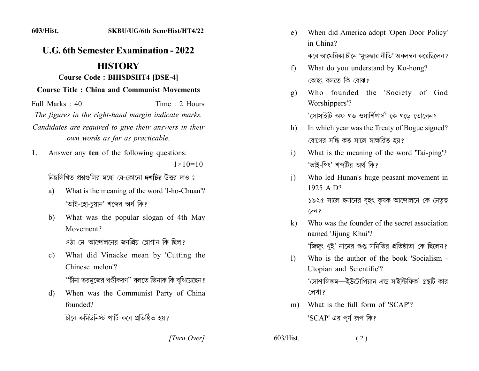## **U.G. 6th Semester Examination - 2022 HISTORY**

## **Course Code: BHISDSHT4 [DSE-4]**

## **Course Title: China and Communist Movements**

Time  $\cdot$  2 Hours Full Marks  $\cdot$  40 The figures in the right-hand margin indicate marks. Candidates are required to give their answers in their own words as far as practicable.

Answer any ten of the following questions: 1.  $1 \times 10 = 10$ 

নিম্নলিখিত প্রশ্নগুলির মধ্যে যে-কোনো দশটির উত্তর দাও ঃ

- What is the meaning of the word 'I-ho-Chuan'? a) 'আই-হো-চয়ান' শব্দের অর্থ কি?
- What was the popular slogan of 4th May b) Movement?

৪ঠা মে আন্দোলনের জনপ্রিয় স্লোগান কি ছিল?

What did Vinacke mean by 'Cutting the  $c)$ Chinese melon'?

''চীনা তরমুজের খণ্ডীকরণ'' বলতে ভিনাক কি বুঝিয়েছেন ?

When was the Communist Party of China d) founded?

চীনে কমিউনিস্ট পার্টি কবে প্রতিষ্ঠিত হয়?

[Turn Over]

- When did America adopt 'Open Door Policy' e) in China? কবে আমেরিকা চীনে 'মুক্তদ্বার নীতি' অবলম্বন করেছিলেন ?
- What do you understand by Ko-hong?  $f$ কোহং বলতে কি বোঝ?
- Who founded the 'Society of God  $g)$ Worshippers'? 'সোসাইটি অফ গড ওয়ার্শিপার্স' কে গডে তোলেন?

In which year was the Treaty of Bogue signed?  $h$ ) বোগের সন্ধি কত সালে স্বাক্ষরিত হয়?

- What is the meaning of the word 'Tai-ping'?  $\mathbf{i}$ 'তাই-পিং' শব্দটির অর্থ কি?
- $\overline{1}$ Who led Hunan's huge peasant movement in 1925 A  $D$ ? ১৯২৫ সালে হ্নানের বৃহৎ কৃষক আন্দোলনে কে নেতৃত্ব

দেন ?

- Who was the founder of the secret association  $\bf k$ named 'Jijung Khui'? 'জিজুং খুই' নামের গুপ্ত সমিতির প্রতিষ্ঠাতা কে ছিলেন?
- Who is the author of the book 'Socialism - $\mathbf{D}$ Utopian and Scientific'? 'সোশালিজম—ইউটোপিয়ান এন্ড সাইন্টিফিক' গ্রন্থটি কার লেখা ?
- What is the full form of 'SCAP'?  $m$ ) 'SCAP' এর পূর্ণ রূপ কি?

 $(2)$ 

 $603/H$ ist